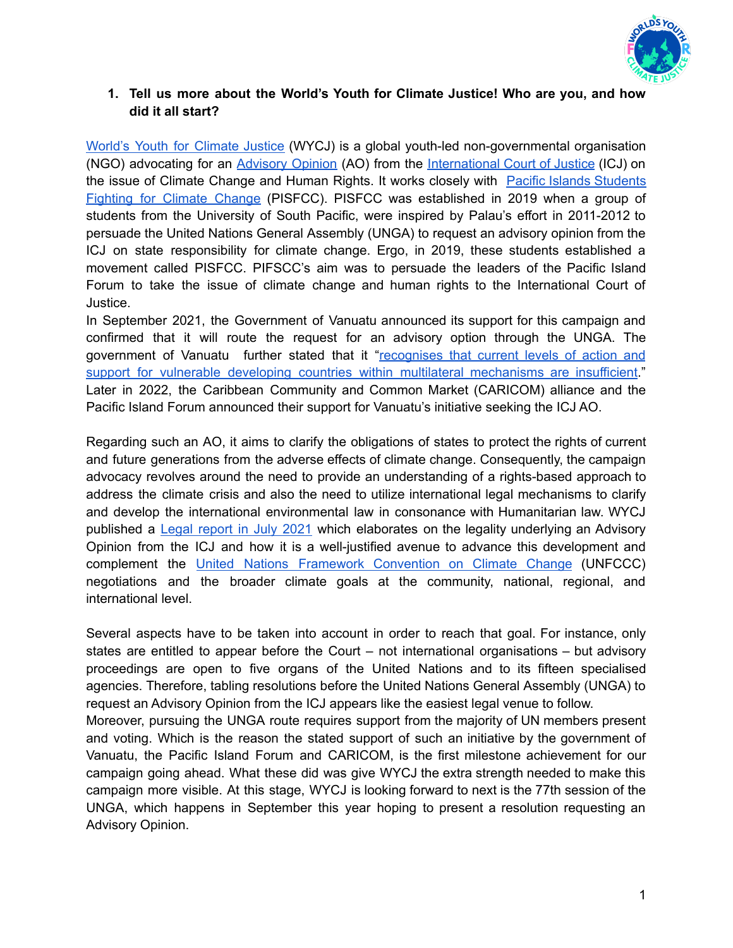

## **1. Tell us more about the World's Youth for Climate Justice! Who are you, and how did it all start?**

World's Youth for [Climate](https://www.wy4cj.org/) Justice (WYCJ) is a global youth-led non-governmental organisation (NGO) advocating for an [Advisory](https://www.icj-cij.org/en/advisory-jurisdiction) Opinion (AO) from the [International](https://www.icj-cij.org/en) Court of Justice (ICJ) on the issue of Climate Change and Human Rights. It works closely with Pacific Islands [Students](https://www.pisfcc.org/) [Fighting](https://www.pisfcc.org/) for Climate Change (PISFCC). PISFCC was established in 2019 when a group of students from the University of South Pacific, were inspired by Palau's effort in 2011-2012 to persuade the United Nations General Assembly (UNGA) to request an advisory opinion from the ICJ on state responsibility for climate change. Ergo, in 2019, these students established a movement called PISFCC. PIFSCC's aim was to persuade the leaders of the Pacific Island Forum to take the issue of climate change and human rights to the International Court of Justice.

In September 2021, the Government of Vanuatu announced its support for this campaign and confirmed that it will route the request for an advisory option through the UNGA. The government of Vanuatu further stated that it "[recognises](https://www.theguardian.com/world/2021/sep/26/vanuatu-to-seek-international-court-opinion-on-climate-change-rights) that current levels of action and support for vulnerable developing countries within multilateral [mechanisms](https://www.theguardian.com/world/2021/sep/26/vanuatu-to-seek-international-court-opinion-on-climate-change-rights) are insufficient." Later in 2022, the Caribbean Community and Common Market (CARICOM) alliance and the Pacific Island Forum announced their support for Vanuatu's initiative seeking the ICJ AO.

Regarding such an AO, it aims to clarify the obligations of states to protect the rights of current and future generations from the adverse effects of climate change. Consequently, the campaign advocacy revolves around the need to provide an understanding of a rights-based approach to address the climate crisis and also the need to utilize international legal mechanisms to clarify and develop the international environmental law in consonance with Humanitarian law. WYCJ published a Legal [report](https://static1.squarespace.com/static/5f063a0c8f53b604aed84729/t/60e53dd9d93f1a66fb57edad/1625636347082/Human+rights+in+the+face+of+the+climate+crisis%3A+a+youth-led+initiative+to+bring+climate+justice+to+the+International+Court+of+Justice) in July 2021 which elaborates on the legality underlying an Advisory Opinion from the ICJ and how it is a well-justified avenue to advance this development and complement the United Nations Framework [Convention](https://unfccc.int/) on Climate Change (UNFCCC) negotiations and the broader climate goals at the community, national, regional, and international level.

Several aspects have to be taken into account in order to reach that goal. For instance, only states are entitled to appear before the Court – not international organisations – but advisory proceedings are open to five organs of the United Nations and to its fifteen specialised agencies. Therefore, tabling resolutions before the United Nations General Assembly (UNGA) to request an Advisory Opinion from the ICJ appears like the easiest legal venue to follow.

Moreover, pursuing the UNGA route requires support from the majority of UN members present and voting. Which is the reason the stated support of such an initiative by the government of Vanuatu, the Pacific Island Forum and CARICOM, is the first milestone achievement for our campaign going ahead. What these did was give WYCJ the extra strength needed to make this campaign more visible. At this stage, WYCJ is looking forward to next is the 77th session of the UNGA, which happens in September this year hoping to present a resolution requesting an Advisory Opinion.